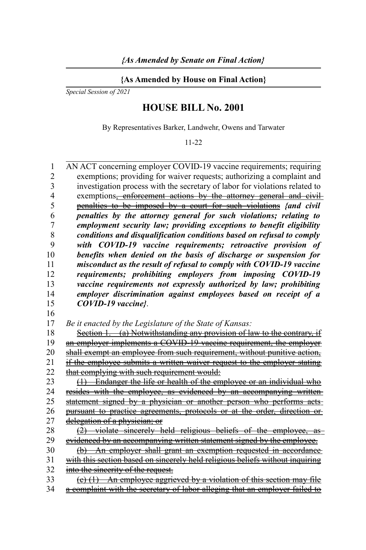## **{As Amended by House on Final Action}**

*Special Session of 2021*

## **HOUSE BILL No. 2001**

By Representatives Barker, Landwehr, Owens and Tarwater

11-22

AN ACT concerning employer COVID-19 vaccine requirements; requiring exemptions; providing for waiver requests; authorizing a complaint and investigation process with the secretary of labor for violations related to exemptions, enforcement actions by the attorney general and civilpenalties to be imposed by a court for such violations *{and civil penalties by the attorney general for such violations; relating to employment security law; providing exceptions to benefit eligibility conditions and disqualification conditions based on refusal to comply with COVID-19 vaccine requirements; retroactive provision of benefits when denied on the basis of discharge or suspension for misconduct as the result of refusal to comply with COVID-19 vaccine requirements; prohibiting employers from imposing COVID-19 vaccine requirements not expressly authorized by law; prohibiting employer discrimination against employees based on receipt of a COVID-19 vaccine}*. *Be it enacted by the Legislature of the State of Kansas:* Section 1. (a) Notwithstanding any provision of law to the contrary, if an employer implements a COVID-19 vaccine requirement, the employer shall exempt an employee from such requirement, without punitive action, if the employee submits a written waiver request to the employer stating that complying with such requirement would: (1) Endanger the life or health of the employee or an individual who resides with the employee, as evidenced by an accompanying writtenstatement signed by a physician or another person who performs acts pursuant to practice agreements, protocols or at the order, direction ordelegation of a physician; or  $(2)$  violate sincerely held religious beliefs of the employee, as evidenced by an accompanying written statement signed by the employee. (b) An employer shall grant an exemption requested in accordance with this section based on sincerely held religious beliefs without inquiring into the sincerity of the request.  $(e)$  (1) An employee aggrieved by a violation of this section may file a complaint with the secretary of labor alleging that an employer failed to 1  $\mathfrak{D}$ 3 4 5 6 7 8 9 10 11 12 13 14 15 16 17 18 19 20 21 22 23 24 25 26 27 28 29 30 31 32 33 34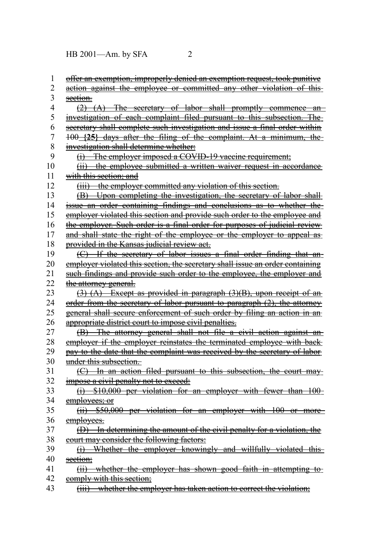HB 2001—Am. by SFA 2

| 1              | offer an exemption, improperly denied an exemption request, took punitive                        |
|----------------|--------------------------------------------------------------------------------------------------|
| $\overline{2}$ | action against the employee or committed any other violation of this-                            |
| 3              | section.                                                                                         |
| 4              | $(2)$ $(A)$ The secretary of labor shall promptly commence an                                    |
| 5              | investigation of each complaint filed pursuant to this subsection. The                           |
| 6              | secretary shall complete such investigation and issue a final order within                       |
| 7              | 100 {25} days after the filing of the complaint. At a minimum, the-                              |
| 8              | investigation shall determine whether:                                                           |
| 9              | (i) The employer imposed a COVID-19 vaccine requirement;                                         |
| 10             | (ii) the employee submitted a written waiver request in accordance                               |
| 11             | with this section: and                                                                           |
| 12             | (iii) the employer committed any violation of this section.                                      |
| 13             | (B) Upon completing the investigation, the secretary of labor shall-                             |
| 14             | issue an order containing findings and conclusions as to whether the-                            |
| 15             | employer violated this section and provide such order to the employee and                        |
| 16             | the employer. Such order is a final order for purposes of judicial review                        |
| 17             | and shall state the right of the employee or the employer to appeal as-                          |
| 18             | provided in the Kansas judicial review act.                                                      |
| 19             | (C) If the secretary of labor issues a final order finding that an-                              |
| 20             | employer violated this section, the secretary shall issue an order containing                    |
| 21             | such findings and provide such order to the employee, the employer and                           |
| 22             | the attorney general.                                                                            |
| 23             | $(3)$ (A) Except as provided in paragraph $(3)(B)$ , upon receipt of an                          |
| 24             | order from the secretary of labor pursuant to paragraph $(2)$ , the attorney                     |
| 25             | general shall secure enforcement of such order by filing an action in an                         |
| 26             | appropriate district court to impose civil penalties.                                            |
| 27             | (B) The attorney general shall not file a civil action against an-                               |
| 28             | employer if the employer reinstates the terminated employee with back-                           |
| 29             | pay to the date that the complaint was received by the secretary of labor                        |
| 30             | under this subsection.                                                                           |
| 31             | (C) In an action filed pursuant to this subsection, the court may-                               |
| 32             | impose a civil penalty not to exceed:                                                            |
| 33             | (i) \$10,000 per violation for an employer with fewer than 100-                                  |
| 34             | employees; or                                                                                    |
| 35             | (ii) \$50,000 per violation for an employer with 100 or more                                     |
| 36             | employees.                                                                                       |
| 37             | (D) In determining the amount of the civil penalty for a violation, the                          |
| 38             | court may consider the following factors:                                                        |
| 39             | Whether the employer knowingly and willfully violated this<br>$\Theta$                           |
| 40             | section;                                                                                         |
| 41             | (ii) whether the employer has shown good faith in attempting to-                                 |
| 42             | comply with this section;                                                                        |
| 43             | whether the employer has taken action to correct the violation;<br>$\overline{(\overline{iii})}$ |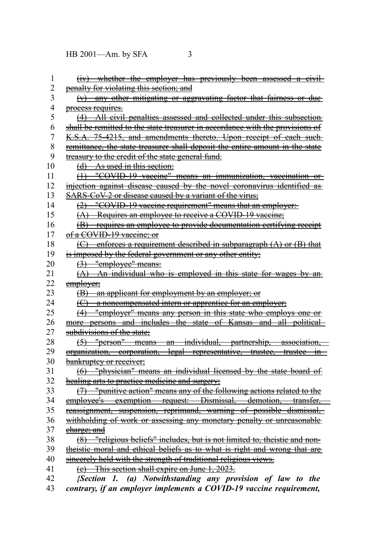HB 2001—Am. by SFA 3

| 1              | (iv) whether the employer has previously been assessed a civil-               |
|----------------|-------------------------------------------------------------------------------|
| 2              | penalty for violating this section; and                                       |
| 3              | (v) any other mitigating or aggravating factor that fairness or due-          |
| 4              | process requires.                                                             |
| 5              | (4) All civil penalties assessed and collected under this subsection          |
| 6              | shall be remitted to the state treasurer in accordance with the provisions of |
| $\overline{7}$ | K.S.A. 75-4215, and amendments thereto. Upon receipt of each such-            |
| 8              | remittance, the state treasurer shall deposit the entire amount in the state  |
| 9              | treasury to the credit of the state general fund.                             |
| 10             | (d) As used in this section:                                                  |
| 11             | (1) "COVID-19 vaccine" means an immunization, vaccination or                  |
| 12             | injection against disease caused by the novel coronavirus identified as       |
| 13             | <b>SARS-CoV-2 or disease caused by a variant of the virus;</b>                |
| 14             | (2) "COVID-19 vaccine requirement" means that an employer:                    |
| 15             | (A) Requires an employee to receive a COVID-19 vaccine;                       |
| 16             | (B) requires an employee to provide documentation certifying receipt          |
| 17             | of a COVID-19 vaccine; or                                                     |
| 18             | $(C)$ enforces a requirement described in subparagraph $(A)$ or $(B)$ that    |
| 19             | is imposed by the federal government or any other entity;                     |
| 20             | $(3)$ "employee" means:                                                       |
| 21             | $(A)$ An individual who is employed in this state for wages by an-            |
| 22             | employer;                                                                     |
| 23             | (B) an applicant for employment by an employer; or                            |
| 24             | (C) a noncompensated intern or apprentice for an employer;                    |
| 25             | (4) "employer" means any person in this state who employs one or              |
| 26             | more persons and includes the state of Kansas and all political-              |
| 27             | subdivisions of the state;                                                    |
| 28             | (5) "person" means an individual, partnership, association,                   |
| 29             | organization, corporation, legal representative, trustee, trustee in          |
| 30             | bankruptey or receiver;                                                       |
| 31             | (6) "physician" means an individual licensed by the state board of            |
| 32             | healing arts to practice medicine and surgery;                                |
| 33             | (7) "punitive action" means any of the following actions related to the       |
| 34             | employee's exemption request: Dismissal, demotion, transfer,                  |
| 35             | reassignment, suspension, reprimand, warning of possible dismissal,           |
| 36             | withholding of work or assessing any monetary penalty or unreasonable         |
| 37             | charge; and                                                                   |
| 38             | (8) "religious beliefs" includes, but is not limited to, theistic and non-    |
| 39             | theistic moral and ethical beliefs as to what is right and wrong that are     |
| 40             | sincerely held with the strength of traditional religious views.              |
| 41             | (e) This section shall expire on June 1, 2023.                                |
| 42             | {Section 1. (a) Notwithstanding any provision of law to the                   |
| 43             | contrary, if an employer implements a COVID-19 vaccine requirement,           |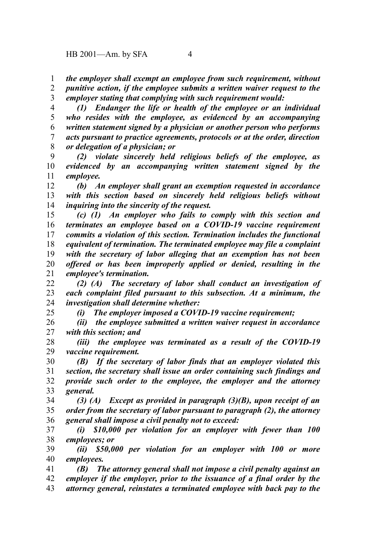*the employer shall exempt an employee from such requirement, without punitive action, if the employee submits a written waiver request to the* 1 2

*employer stating that complying with such requirement would:* 3

*(1) Endanger the life or health of the employee or an individual who resides with the employee, as evidenced by an accompanying written statement signed by a physician or another person who performs acts pursuant to practice agreements, protocols or at the order, direction or delegation of a physician; or* 4 5 6 7 8

*(2) violate sincerely held religious beliefs of the employee, as evidenced by an accompanying written statement signed by the employee.* 9 10 11

*(b) An employer shall grant an exemption requested in accordance with this section based on sincerely held religious beliefs without inquiring into the sincerity of the request.* 12 13 14

*(c) (1) An employer who fails to comply with this section and terminates an employee based on a COVID-19 vaccine requirement commits a violation of this section. Termination includes the functional equivalent of termination. The terminated employee may file a complaint with the secretary of labor alleging that an exemption has not been offered or has been improperly applied or denied, resulting in the employee's termination.* 15 16 17 18 19 20 21

*(2) (A) The secretary of labor shall conduct an investigation of each complaint filed pursuant to this subsection. At a minimum, the investigation shall determine whether:* 22 23 24

*(i) The employer imposed a COVID-19 vaccine requirement;*

*(ii) the employee submitted a written waiver request in accordance with this section; and* 26 27

*(iii) the employee was terminated as a result of the COVID-19 vaccine requirement.* 28 29

*(B) If the secretary of labor finds that an employer violated this section, the secretary shall issue an order containing such findings and provide such order to the employee, the employer and the attorney general.* 30 31 32 33

*(3) (A) Except as provided in paragraph (3)(B), upon receipt of an order from the secretary of labor pursuant to paragraph (2), the attorney general shall impose a civil penalty not to exceed:* 34 35 36

*(i) \$10,000 per violation for an employer with fewer than 100 employees; or* 37 38

*(ii) \$50,000 per violation for an employer with 100 or more employees.* 39 40

*(B) The attorney general shall not impose a civil penalty against an employer if the employer, prior to the issuance of a final order by the attorney general, reinstates a terminated employee with back pay to the* 41 42 43

25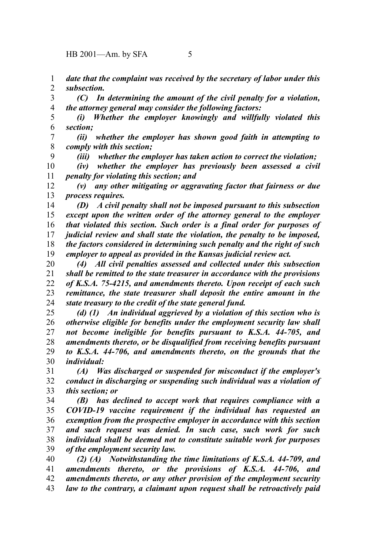9

*date that the complaint was received by the secretary of labor under this subsection.* 1 2

*(C) In determining the amount of the civil penalty for a violation, the attorney general may consider the following factors:* 3 4

*(i) Whether the employer knowingly and willfully violated this section;* 5 6

*(ii) whether the employer has shown good faith in attempting to comply with this section;* 7 8

*(iii) whether the employer has taken action to correct the violation;*

*(iv) whether the employer has previously been assessed a civil penalty for violating this section; and* 10 11

*(v) any other mitigating or aggravating factor that fairness or due process requires.* 12 13

*(D) A civil penalty shall not be imposed pursuant to this subsection except upon the written order of the attorney general to the employer that violated this section. Such order is a final order for purposes of judicial review and shall state the violation, the penalty to be imposed, the factors considered in determining such penalty and the right of such employer to appeal as provided in the Kansas judicial review act.* 14 15 16 17 18 19

*(4) All civil penalties assessed and collected under this subsection shall be remitted to the state treasurer in accordance with the provisions of K.S.A. 75-4215, and amendments thereto. Upon receipt of each such remittance, the state treasurer shall deposit the entire amount in the state treasury to the credit of the state general fund.* 20 21 22 23 24

*(d) (1) An individual aggrieved by a violation of this section who is otherwise eligible for benefits under the employment security law shall not become ineligible for benefits pursuant to K.S.A. 44-705, and amendments thereto, or be disqualified from receiving benefits pursuant to K.S.A. 44-706, and amendments thereto, on the grounds that the individual:* 25 26 27 28 29 30

*(A) Was discharged or suspended for misconduct if the employer's conduct in discharging or suspending such individual was a violation of this section; or* 31 32 33

*(B) has declined to accept work that requires compliance with a COVID-19 vaccine requirement if the individual has requested an exemption from the prospective employer in accordance with this section and such request was denied. In such case, such work for such individual shall be deemed not to constitute suitable work for purposes of the employment security law.* 34 35 36 37 38 39

*(2) (A) Notwithstanding the time limitations of K.S.A. 44-709, and amendments thereto, or the provisions of K.S.A. 44-706, and amendments thereto, or any other provision of the employment security law to the contrary, a claimant upon request shall be retroactively paid* 40 41 42 43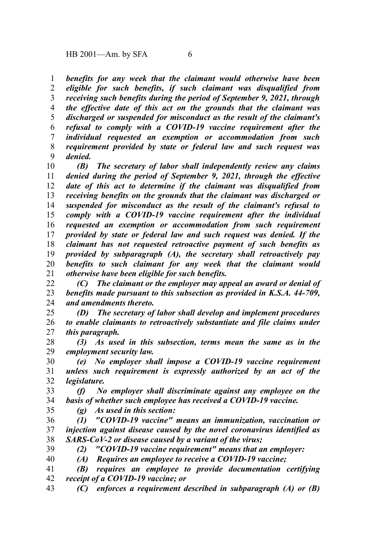*benefits for any week that the claimant would otherwise have been eligible for such benefits, if such claimant was disqualified from receiving such benefits during the period of September 9, 2021, through the effective date of this act on the grounds that the claimant was discharged or suspended for misconduct as the result of the claimant's refusal to comply with a COVID-19 vaccine requirement after the individual requested an exemption or accommodation from such requirement provided by state or federal law and such request was denied.* 1 2 3 4 5 6 7 8 9

*(B) The secretary of labor shall independently review any claims denied during the period of September 9, 2021, through the effective date of this act to determine if the claimant was disqualified from receiving benefits on the grounds that the claimant was discharged or suspended for misconduct as the result of the claimant's refusal to comply with a COVID-19 vaccine requirement after the individual requested an exemption or accommodation from such requirement provided by state or federal law and such request was denied. If the claimant has not requested retroactive payment of such benefits as provided by subparagraph (A), the secretary shall retroactively pay benefits to such claimant for any week that the claimant would otherwise have been eligible for such benefits.* 10 11 12 13 14 15 16 17 18 19 20 21

*(C) The claimant or the employer may appeal an award or denial of benefits made pursuant to this subsection as provided in K.S.A. 44-709, and amendments thereto.* 22 23 24

*(D) The secretary of labor shall develop and implement procedures to enable claimants to retroactively substantiate and file claims under this paragraph.* 25 26 27

*(3) As used in this subsection, terms mean the same as in the employment security law.* 28 29

*(e) No employer shall impose a COVID-19 vaccine requirement unless such requirement is expressly authorized by an act of the legislature.*  30 31 32

*(f) No employer shall discriminate against any employee on the basis of whether such employee has received a COVID-19 vaccine.* 33 34

35

*(g) As used in this section:*

- *(1) "COVID-19 vaccine" means an immunization, vaccination or injection against disease caused by the novel coronavirus identified as SARS-CoV-2 or disease caused by a variant of the virus;* 36 37 38
- 39

*(2) "COVID-19 vaccine requirement" means that an employer:*

*(A) Requires an employee to receive a COVID-19 vaccine;* 40

*(B) requires an employee to provide documentation certifying receipt of a COVID-19 vaccine; or* 41 42

*(C) enforces a requirement described in subparagraph (A) or (B)* 43